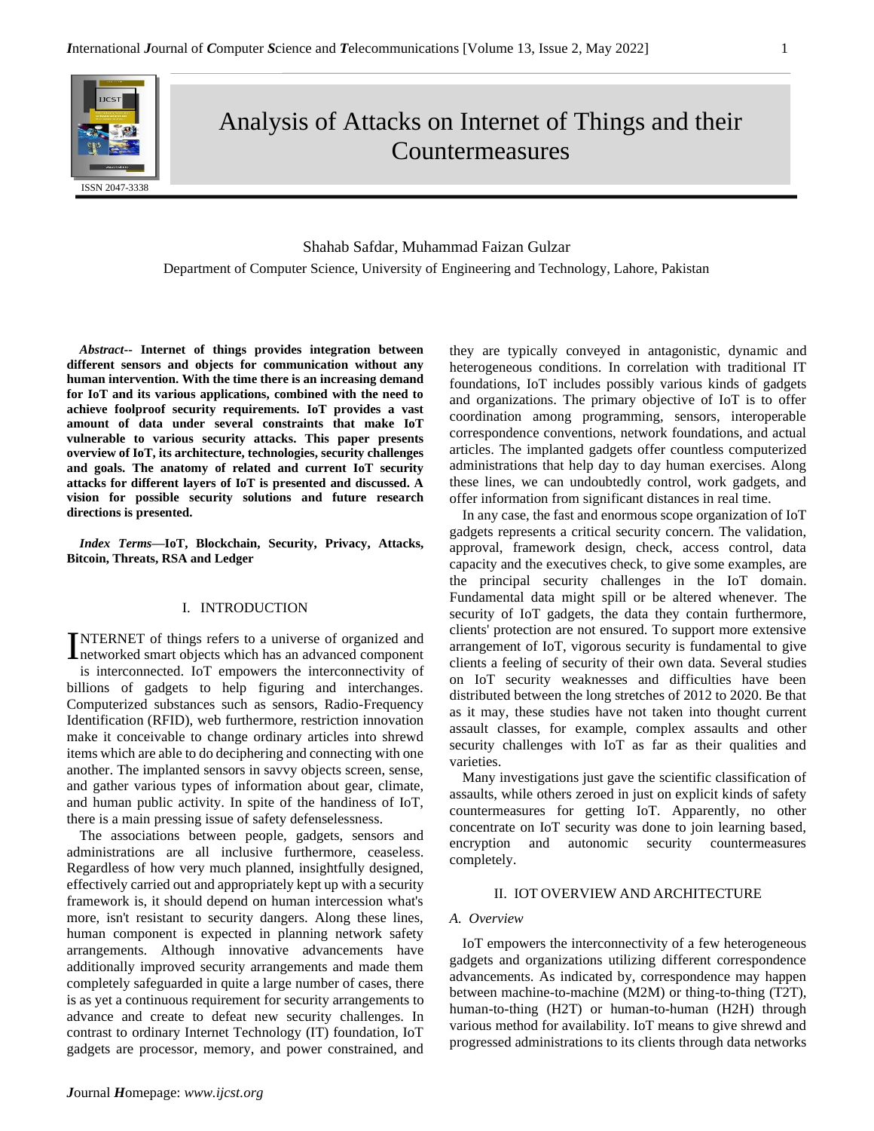Analysis of Attacks on Internet of Things and their Countermeasures

# Shahab Safdar, Muhammad Faizan Gulzar Department of Computer Science, University of Engineering and Technology, Lahore, Pakistan

*Abstract***-- Internet of things provides integration between different sensors and objects for communication without any human intervention. With the time there is an increasing demand for IoT and its various applications, combined with the need to achieve foolproof security requirements. IoT provides a vast amount of data under several constraints that make IoT vulnerable to various security attacks. This paper presents overview of IoT, its architecture, technologies, security challenges and goals. The anatomy of related and current IoT security attacks for different layers of IoT is presented and discussed. A vision for possible security solutions and future research directions is presented.**

*Index Terms***—IoT, Blockchain, Security, Privacy, Attacks, Bitcoin, Threats, RSA and Ledger**

#### I. INTRODUCTION

NTERNET of things refers to a universe of organized and INTERNET of things refers to a universe of organized and networked smart objects which has an advanced component

is interconnected. IoT empowers the interconnectivity of billions of gadgets to help figuring and interchanges. Computerized substances such as sensors, Radio-Frequency Identification (RFID), web furthermore, restriction innovation make it conceivable to change ordinary articles into shrewd items which are able to do deciphering and connecting with one another. The implanted sensors in savvy objects screen, sense, and gather various types of information about gear, climate, and human public activity. In spite of the handiness of IoT, there is a main pressing issue of safety defenselessness.

The associations between people, gadgets, sensors and administrations are all inclusive furthermore, ceaseless. Regardless of how very much planned, insightfully designed, effectively carried out and appropriately kept up with a security framework is, it should depend on human intercession what's more, isn't resistant to security dangers. Along these lines, human component is expected in planning network safety arrangements. Although innovative advancements have additionally improved security arrangements and made them completely safeguarded in quite a large number of cases, there is as yet a continuous requirement for security arrangements to advance and create to defeat new security challenges. In contrast to ordinary Internet Technology (IT) foundation, IoT gadgets are processor, memory, and power constrained, and they are typically conveyed in antagonistic, dynamic and heterogeneous conditions. In correlation with traditional IT foundations, IoT includes possibly various kinds of gadgets and organizations. The primary objective of IoT is to offer coordination among programming, sensors, interoperable correspondence conventions, network foundations, and actual articles. The implanted gadgets offer countless computerized administrations that help day to day human exercises. Along these lines, we can undoubtedly control, work gadgets, and offer information from significant distances in real time.

In any case, the fast and enormous scope organization of IoT gadgets represents a critical security concern. The validation, approval, framework design, check, access control, data capacity and the executives check, to give some examples, are the principal security challenges in the IoT domain. Fundamental data might spill or be altered whenever. The security of IoT gadgets, the data they contain furthermore, clients' protection are not ensured. To support more extensive arrangement of IoT, vigorous security is fundamental to give clients a feeling of security of their own data. Several studies on IoT security weaknesses and difficulties have been distributed between the long stretches of 2012 to 2020. Be that as it may, these studies have not taken into thought current assault classes, for example, complex assaults and other security challenges with IoT as far as their qualities and varieties.

Many investigations just gave the scientific classification of assaults, while others zeroed in just on explicit kinds of safety countermeasures for getting IoT. Apparently, no other concentrate on IoT security was done to join learning based, encryption and autonomic security countermeasures completely.

# II. IOT OVERVIEW AND ARCHITECTURE

#### *A. Overview*

IoT empowers the interconnectivity of a few heterogeneous gadgets and organizations utilizing different correspondence advancements. As indicated by, correspondence may happen between machine-to-machine (M2M) or thing-to-thing (T2T), human-to-thing (H2T) or human-to-human (H2H) through various method for availability. IoT means to give shrewd and progressed administrations to its clients through data networks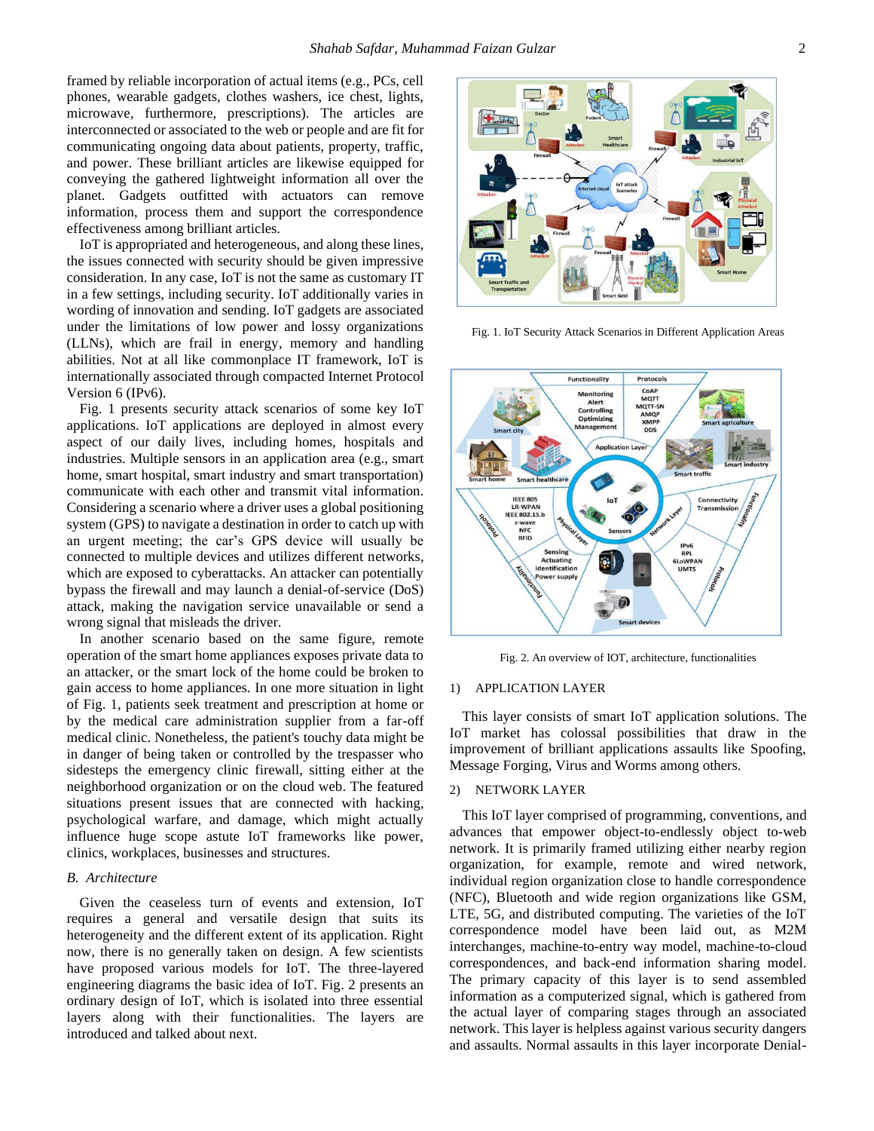framed by reliable incorporation of actual items (e.g., PCs, cell phones, wearable gadgets, clothes washers, ice chest, lights, microwave, furthermore, prescriptions). The articles are interconnected or associated to the web or people and are fit for communicating ongoing data about patients, property, traffic, and power. These brilliant articles are likewise equipped for conveying the gathered lightweight information all over the planet. Gadgets outfitted with actuators can remove information, process them and support the correspondence effectiveness among brilliant articles.

IoT is appropriated and heterogeneous, and along these lines, the issues connected with security should be given impressive consideration. In any case, IoT is not the same as customary IT in a few settings, including security. IoT additionally varies in wording of innovation and sending. IoT gadgets are associated under the limitations of low power and lossy organizations (LLNs), which are frail in energy, memory and handling abilities. Not at all like commonplace IT framework, IoT is internationally associated through compacted Internet Protocol Version 6 (IPv6).

Fig. 1 presents security attack scenarios of some key IoT applications. IoT applications are deployed in almost every aspect of our daily lives, including homes, hospitals and industries. Multiple sensors in an application area (e.g., smart home, smart hospital, smart industry and smart transportation) communicate with each other and transmit vital information. Considering a scenario where a driver uses a global positioning system (GPS) to navigate a destination in order to catch up with an urgent meeting; the car's GPS device will usually be connected to multiple devices and utilizes different networks, which are exposed to cyberattacks. An attacker can potentially bypass the firewall and may launch a denial-of-service (DoS) attack, making the navigation service unavailable or send a wrong signal that misleads the driver.

In another scenario based on the same figure, remote operation of the smart home appliances exposes private data to an attacker, or the smart lock of the home could be broken to gain access to home appliances. In one more situation in light of Fig. 1, patients seek treatment and prescription at home or by the medical care administration supplier from a far-off medical clinic. Nonetheless, the patient's touchy data might be in danger of being taken or controlled by the trespasser who sidesteps the emergency clinic firewall, sitting either at the neighborhood organization or on the cloud web. The featured situations present issues that are connected with hacking, psychological warfare, and damage, which might actually influence huge scope astute IoT frameworks like power, clinics, workplaces, businesses and structures.

### *B. Architecture*

Given the ceaseless turn of events and extension, IoT requires a general and versatile design that suits its heterogeneity and the different extent of its application. Right now, there is no generally taken on design. A few scientists have proposed various models for IoT. The three-layered engineering diagrams the basic idea of IoT. Fig. 2 presents an ordinary design of IoT, which is isolated into three essential layers along with their functionalities. The layers are introduced and talked about next.



Fig. 1. IoT Security Attack Scenarios in Different Application Areas



Fig. 2. An overview of IOT, architecture, functionalities

#### 1) APPLICATION LAYER

This layer consists of smart IoT application solutions. The IoT market has colossal possibilities that draw in the improvement of brilliant applications assaults like Spoofing, Message Forging, Virus and Worms among others.

### 2) NETWORK LAYER

This IoT layer comprised of programming, conventions, and advances that empower object-to-endlessly object to-web network. It is primarily framed utilizing either nearby region organization, for example, remote and wired network, individual region organization close to handle correspondence (NFC), Bluetooth and wide region organizations like GSM, LTE, 5G, and distributed computing. The varieties of the IoT correspondence model have been laid out, as M2M interchanges, machine-to-entry way model, machine-to-cloud correspondences, and back-end information sharing model. The primary capacity of this layer is to send assembled information as a computerized signal, which is gathered from the actual layer of comparing stages through an associated network. This layer is helpless against various security dangers and assaults. Normal assaults in this layer incorporate Denial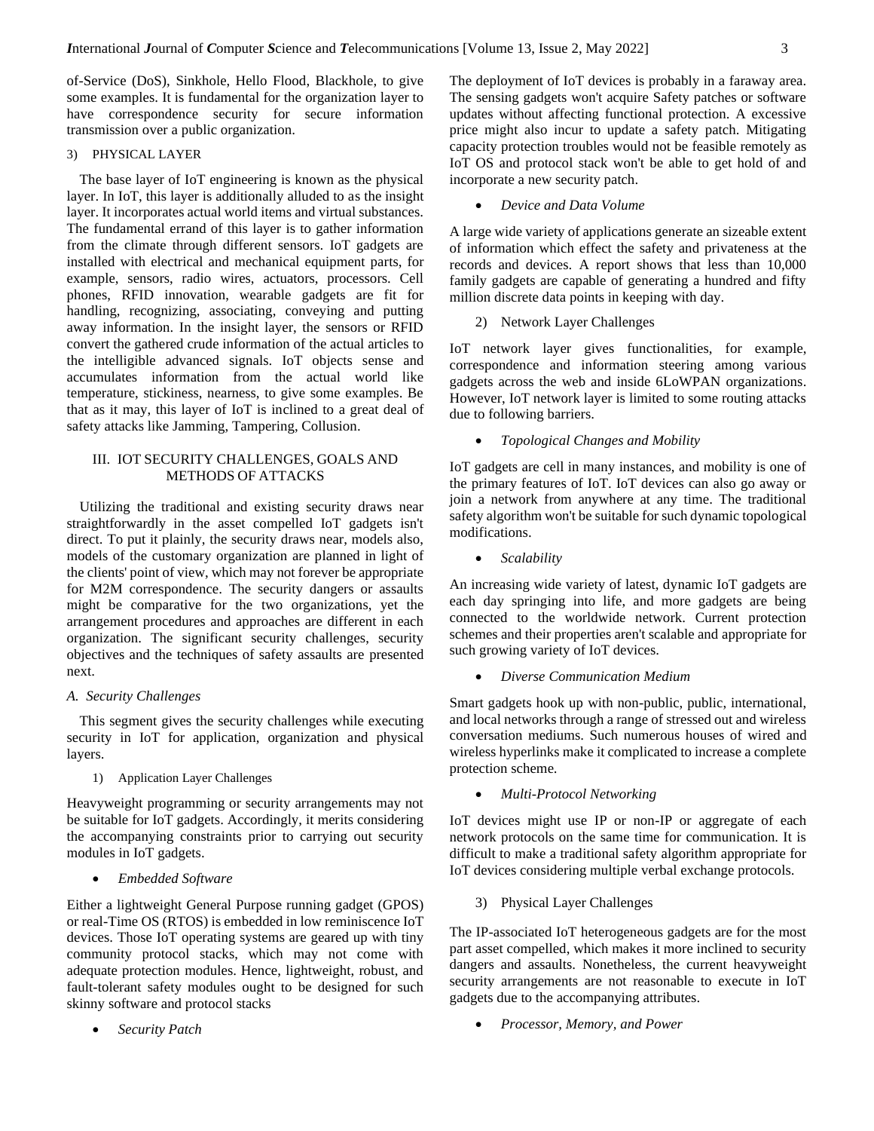of-Service (DoS), Sinkhole, Hello Flood, Blackhole, to give some examples. It is fundamental for the organization layer to have correspondence security for secure information transmission over a public organization.

### 3) PHYSICAL LAYER

The base layer of IoT engineering is known as the physical layer. In IoT, this layer is additionally alluded to as the insight layer. It incorporates actual world items and virtual substances. The fundamental errand of this layer is to gather information from the climate through different sensors. IoT gadgets are installed with electrical and mechanical equipment parts, for example, sensors, radio wires, actuators, processors. Cell phones, RFID innovation, wearable gadgets are fit for handling, recognizing, associating, conveying and putting away information. In the insight layer, the sensors or RFID convert the gathered crude information of the actual articles to the intelligible advanced signals. IoT objects sense and accumulates information from the actual world like temperature, stickiness, nearness, to give some examples. Be that as it may, this layer of IoT is inclined to a great deal of safety attacks like Jamming, Tampering, Collusion.

# III. IOT SECURITY CHALLENGES, GOALS AND METHODS OF ATTACKS

Utilizing the traditional and existing security draws near straightforwardly in the asset compelled IoT gadgets isn't direct. To put it plainly, the security draws near, models also, models of the customary organization are planned in light of the clients' point of view, which may not forever be appropriate for M2M correspondence. The security dangers or assaults might be comparative for the two organizations, yet the arrangement procedures and approaches are different in each organization. The significant security challenges, security objectives and the techniques of safety assaults are presented next.

#### *A. Security Challenges*

This segment gives the security challenges while executing security in IoT for application, organization and physical layers.

1) Application Layer Challenges

Heavyweight programming or security arrangements may not be suitable for IoT gadgets. Accordingly, it merits considering the accompanying constraints prior to carrying out security modules in IoT gadgets.

• *Embedded Software*

Either a lightweight General Purpose running gadget (GPOS) or real-Time OS (RTOS) is embedded in low reminiscence IoT devices. Those IoT operating systems are geared up with tiny community protocol stacks, which may not come with adequate protection modules. Hence, lightweight, robust, and fault-tolerant safety modules ought to be designed for such skinny software and protocol stacks

• *Security Patch*

The deployment of IoT devices is probably in a faraway area. The sensing gadgets won't acquire Safety patches or software updates without affecting functional protection. A excessive price might also incur to update a safety patch. Mitigating capacity protection troubles would not be feasible remotely as IoT OS and protocol stack won't be able to get hold of and incorporate a new security patch.

# • *Device and Data Volume*

A large wide variety of applications generate an sizeable extent of information which effect the safety and privateness at the records and devices. A report shows that less than 10,000 family gadgets are capable of generating a hundred and fifty million discrete data points in keeping with day.

2) Network Layer Challenges

IoT network layer gives functionalities, for example, correspondence and information steering among various gadgets across the web and inside 6LoWPAN organizations. However, IoT network layer is limited to some routing attacks due to following barriers.

• *Topological Changes and Mobility*

IoT gadgets are cell in many instances, and mobility is one of the primary features of IoT. IoT devices can also go away or join a network from anywhere at any time. The traditional safety algorithm won't be suitable for such dynamic topological modifications.

• *Scalability*

An increasing wide variety of latest, dynamic IoT gadgets are each day springing into life, and more gadgets are being connected to the worldwide network. Current protection schemes and their properties aren't scalable and appropriate for such growing variety of IoT devices.

• *Diverse Communication Medium*

Smart gadgets hook up with non-public, public, international, and local networks through a range of stressed out and wireless conversation mediums. Such numerous houses of wired and wireless hyperlinks make it complicated to increase a complete protection scheme.

• *Multi-Protocol Networking*

IoT devices might use IP or non-IP or aggregate of each network protocols on the same time for communication. It is difficult to make a traditional safety algorithm appropriate for IoT devices considering multiple verbal exchange protocols.

3) Physical Layer Challenges

The IP-associated IoT heterogeneous gadgets are for the most part asset compelled, which makes it more inclined to security dangers and assaults. Nonetheless, the current heavyweight security arrangements are not reasonable to execute in IoT gadgets due to the accompanying attributes.

• *Processor, Memory, and Power*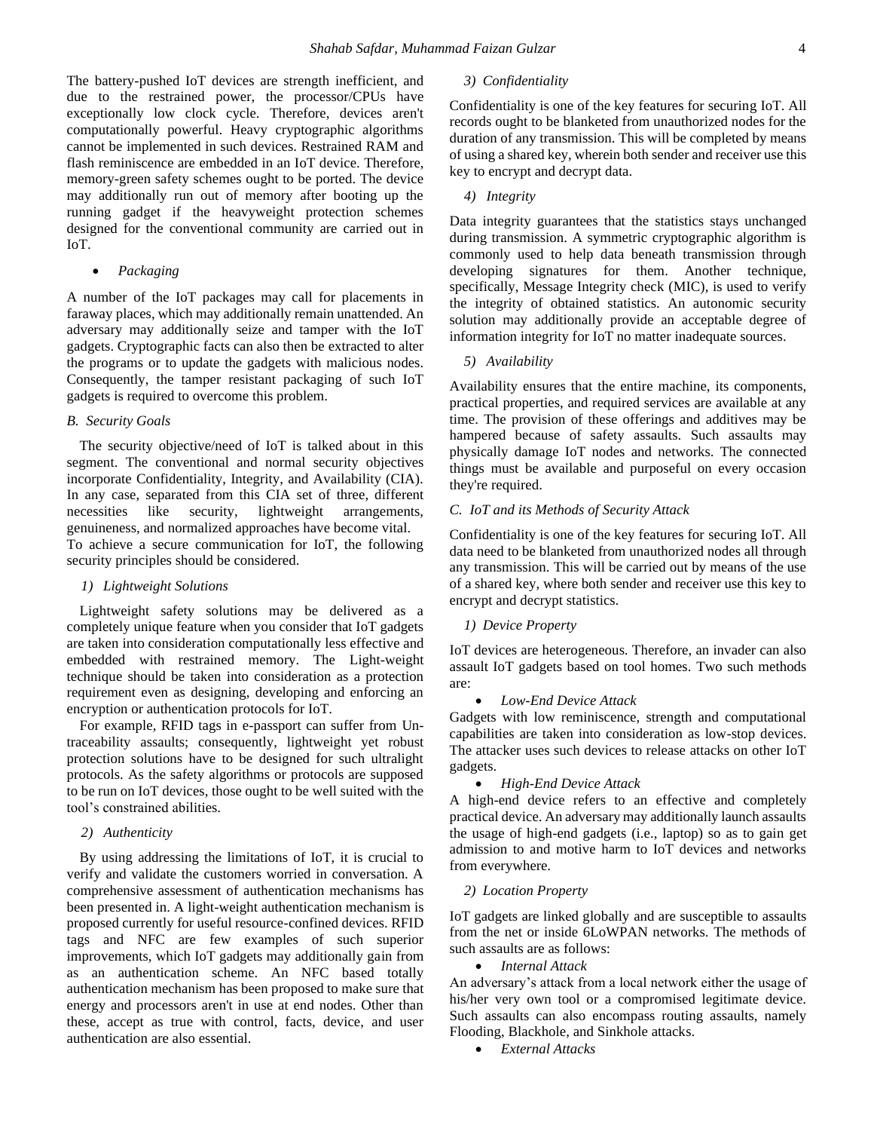The battery-pushed IoT devices are strength inefficient, and due to the restrained power, the processor/CPUs have exceptionally low clock cycle. Therefore, devices aren't computationally powerful. Heavy cryptographic algorithms cannot be implemented in such devices. Restrained RAM and flash reminiscence are embedded in an IoT device. Therefore, memory-green safety schemes ought to be ported. The device may additionally run out of memory after booting up the running gadget if the heavyweight protection schemes designed for the conventional community are carried out in IoT.

• *Packaging*

A number of the IoT packages may call for placements in faraway places, which may additionally remain unattended. An adversary may additionally seize and tamper with the IoT gadgets. Cryptographic facts can also then be extracted to alter the programs or to update the gadgets with malicious nodes. Consequently, the tamper resistant packaging of such IoT gadgets is required to overcome this problem.

#### *B. Security Goals*

The security objective/need of IoT is talked about in this segment. The conventional and normal security objectives incorporate Confidentiality, Integrity, and Availability (CIA). In any case, separated from this CIA set of three, different necessities like security, lightweight arrangements, genuineness, and normalized approaches have become vital. To achieve a secure communication for IoT, the following security principles should be considered.

#### *1) Lightweight Solutions*

Lightweight safety solutions may be delivered as a completely unique feature when you consider that IoT gadgets are taken into consideration computationally less effective and embedded with restrained memory. The Light-weight technique should be taken into consideration as a protection requirement even as designing, developing and enforcing an encryption or authentication protocols for IoT.

For example, RFID tags in e-passport can suffer from Untraceability assaults; consequently, lightweight yet robust protection solutions have to be designed for such ultralight protocols. As the safety algorithms or protocols are supposed to be run on IoT devices, those ought to be well suited with the tool's constrained abilities.

# *2) Authenticity*

By using addressing the limitations of IoT, it is crucial to verify and validate the customers worried in conversation. A comprehensive assessment of authentication mechanisms has been presented in. A light-weight authentication mechanism is proposed currently for useful resource-confined devices. RFID tags and NFC are few examples of such superior improvements, which IoT gadgets may additionally gain from as an authentication scheme. An NFC based totally authentication mechanism has been proposed to make sure that energy and processors aren't in use at end nodes. Other than these, accept as true with control, facts, device, and user authentication are also essential.

### *3) Confidentiality*

Confidentiality is one of the key features for securing IoT. All records ought to be blanketed from unauthorized nodes for the duration of any transmission. This will be completed by means of using a shared key, wherein both sender and receiver use this key to encrypt and decrypt data.

# *4) Integrity*

Data integrity guarantees that the statistics stays unchanged during transmission. A symmetric cryptographic algorithm is commonly used to help data beneath transmission through developing signatures for them. Another technique, specifically, Message Integrity check (MIC), is used to verify the integrity of obtained statistics. An autonomic security solution may additionally provide an acceptable degree of information integrity for IoT no matter inadequate sources.

 *5) Availability*

Availability ensures that the entire machine, its components, practical properties, and required services are available at any time. The provision of these offerings and additives may be hampered because of safety assaults. Such assaults may physically damage IoT nodes and networks. The connected things must be available and purposeful on every occasion they're required.

# *C. IoT and its Methods of Security Attack*

Confidentiality is one of the key features for securing IoT. All data need to be blanketed from unauthorized nodes all through any transmission. This will be carried out by means of the use of a shared key, where both sender and receiver use this key to encrypt and decrypt statistics.

### *1) Device Property*

IoT devices are heterogeneous. Therefore, an invader can also assault IoT gadgets based on tool homes. Two such methods are:

#### • *Low-End Device Attack*

Gadgets with low reminiscence, strength and computational capabilities are taken into consideration as low-stop devices. The attacker uses such devices to release attacks on other IoT gadgets.

### • *High-End Device Attack*

A high-end device refers to an effective and completely practical device. An adversary may additionally launch assaults the usage of high-end gadgets (i.e., laptop) so as to gain get admission to and motive harm to IoT devices and networks from everywhere.

#### *2) Location Property*

IoT gadgets are linked globally and are susceptible to assaults from the net or inside 6LoWPAN networks. The methods of such assaults are as follows:

### • *Internal Attack*

An adversary's attack from a local network either the usage of his/her very own tool or a compromised legitimate device. Such assaults can also encompass routing assaults, namely Flooding, Blackhole, and Sinkhole attacks.

• *External Attacks*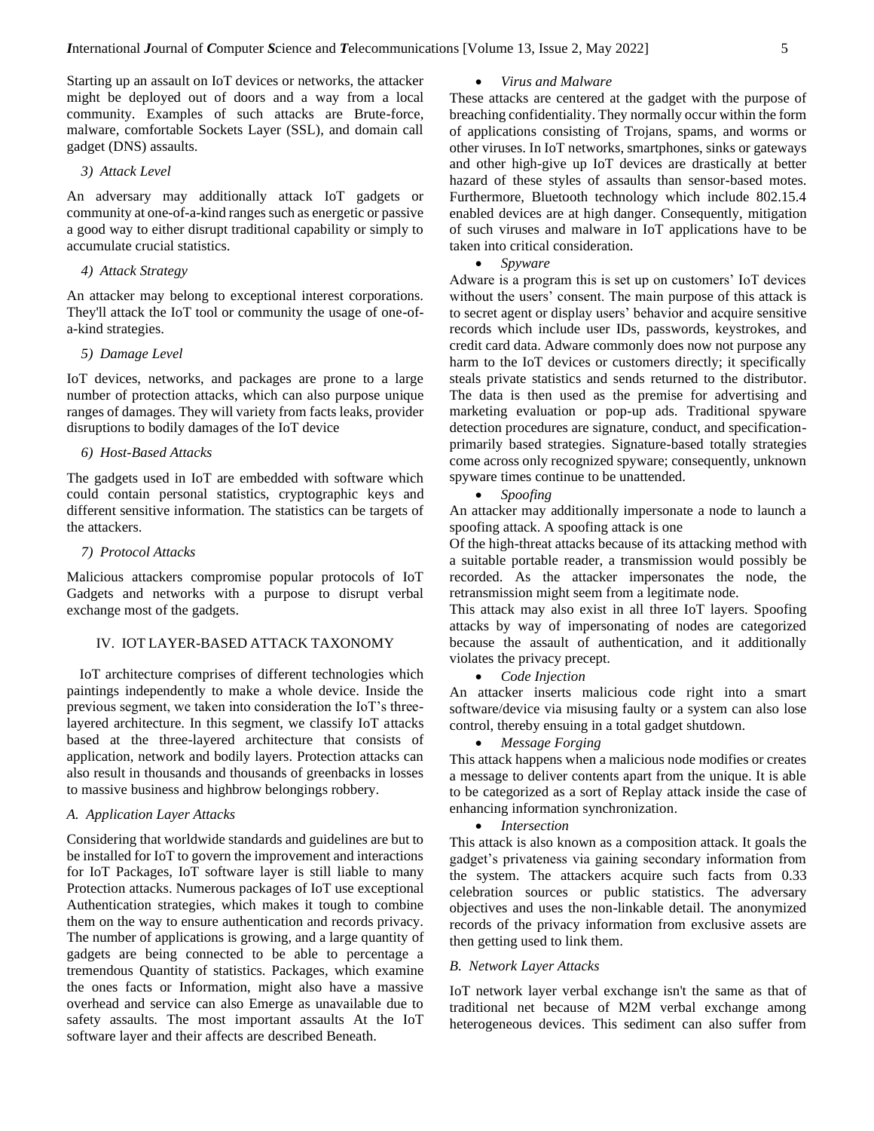Starting up an assault on IoT devices or networks, the attacker might be deployed out of doors and a way from a local community. Examples of such attacks are Brute-force, malware, comfortable Sockets Layer (SSL), and domain call gadget (DNS) assaults.

#### *3) Attack Level*

An adversary may additionally attack IoT gadgets or community at one-of-a-kind ranges such as energetic or passive a good way to either disrupt traditional capability or simply to accumulate crucial statistics.

### *4) Attack Strategy*

An attacker may belong to exceptional interest corporations. They'll attack the IoT tool or community the usage of one-ofa-kind strategies.

### *5) Damage Level*

IoT devices, networks, and packages are prone to a large number of protection attacks, which can also purpose unique ranges of damages. They will variety from facts leaks, provider disruptions to bodily damages of the IoT device

### *6) Host-Based Attacks*

The gadgets used in IoT are embedded with software which could contain personal statistics, cryptographic keys and different sensitive information. The statistics can be targets of the attackers.

# *7) Protocol Attacks*

Malicious attackers compromise popular protocols of IoT Gadgets and networks with a purpose to disrupt verbal exchange most of the gadgets.

# IV. IOT LAYER-BASED ATTACK TAXONOMY

IoT architecture comprises of different technologies which paintings independently to make a whole device. Inside the previous segment, we taken into consideration the IoT's threelayered architecture. In this segment, we classify IoT attacks based at the three-layered architecture that consists of application, network and bodily layers. Protection attacks can also result in thousands and thousands of greenbacks in losses to massive business and highbrow belongings robbery.

### *A. Application Layer Attacks*

Considering that worldwide standards and guidelines are but to be installed for IoT to govern the improvement and interactions for IoT Packages, IoT software layer is still liable to many Protection attacks. Numerous packages of IoT use exceptional Authentication strategies, which makes it tough to combine them on the way to ensure authentication and records privacy. The number of applications is growing, and a large quantity of gadgets are being connected to be able to percentage a tremendous Quantity of statistics. Packages, which examine the ones facts or Information, might also have a massive overhead and service can also Emerge as unavailable due to safety assaults. The most important assaults At the IoT software layer and their affects are described Beneath.

### • *Virus and Malware*

These attacks are centered at the gadget with the purpose of breaching confidentiality. They normally occur within the form of applications consisting of Trojans, spams, and worms or other viruses. In IoT networks, smartphones, sinks or gateways and other high-give up IoT devices are drastically at better hazard of these styles of assaults than sensor-based motes. Furthermore, Bluetooth technology which include 802.15.4 enabled devices are at high danger. Consequently, mitigation of such viruses and malware in IoT applications have to be taken into critical consideration.

#### • *Spyware*

Adware is a program this is set up on customers' IoT devices without the users' consent. The main purpose of this attack is to secret agent or display users' behavior and acquire sensitive records which include user IDs, passwords, keystrokes, and credit card data. Adware commonly does now not purpose any harm to the IoT devices or customers directly; it specifically steals private statistics and sends returned to the distributor. The data is then used as the premise for advertising and marketing evaluation or pop-up ads. Traditional spyware detection procedures are signature, conduct, and specificationprimarily based strategies. Signature-based totally strategies come across only recognized spyware; consequently, unknown spyware times continue to be unattended.

• *Spoofing*

An attacker may additionally impersonate a node to launch a spoofing attack. A spoofing attack is one

Of the high-threat attacks because of its attacking method with a suitable portable reader, a transmission would possibly be recorded. As the attacker impersonates the node, the retransmission might seem from a legitimate node.

This attack may also exist in all three IoT layers. Spoofing attacks by way of impersonating of nodes are categorized because the assault of authentication, and it additionally violates the privacy precept.

• *Code Injection*

An attacker inserts malicious code right into a smart software/device via misusing faulty or a system can also lose control, thereby ensuing in a total gadget shutdown.

• *Message Forging*

This attack happens when a malicious node modifies or creates a message to deliver contents apart from the unique. It is able to be categorized as a sort of Replay attack inside the case of enhancing information synchronization.

• *Intersection*

This attack is also known as a composition attack. It goals the gadget's privateness via gaining secondary information from the system. The attackers acquire such facts from 0.33 celebration sources or public statistics. The adversary objectives and uses the non-linkable detail. The anonymized records of the privacy information from exclusive assets are then getting used to link them.

### *B. Network Layer Attacks*

IoT network layer verbal exchange isn't the same as that of traditional net because of M2M verbal exchange among heterogeneous devices. This sediment can also suffer from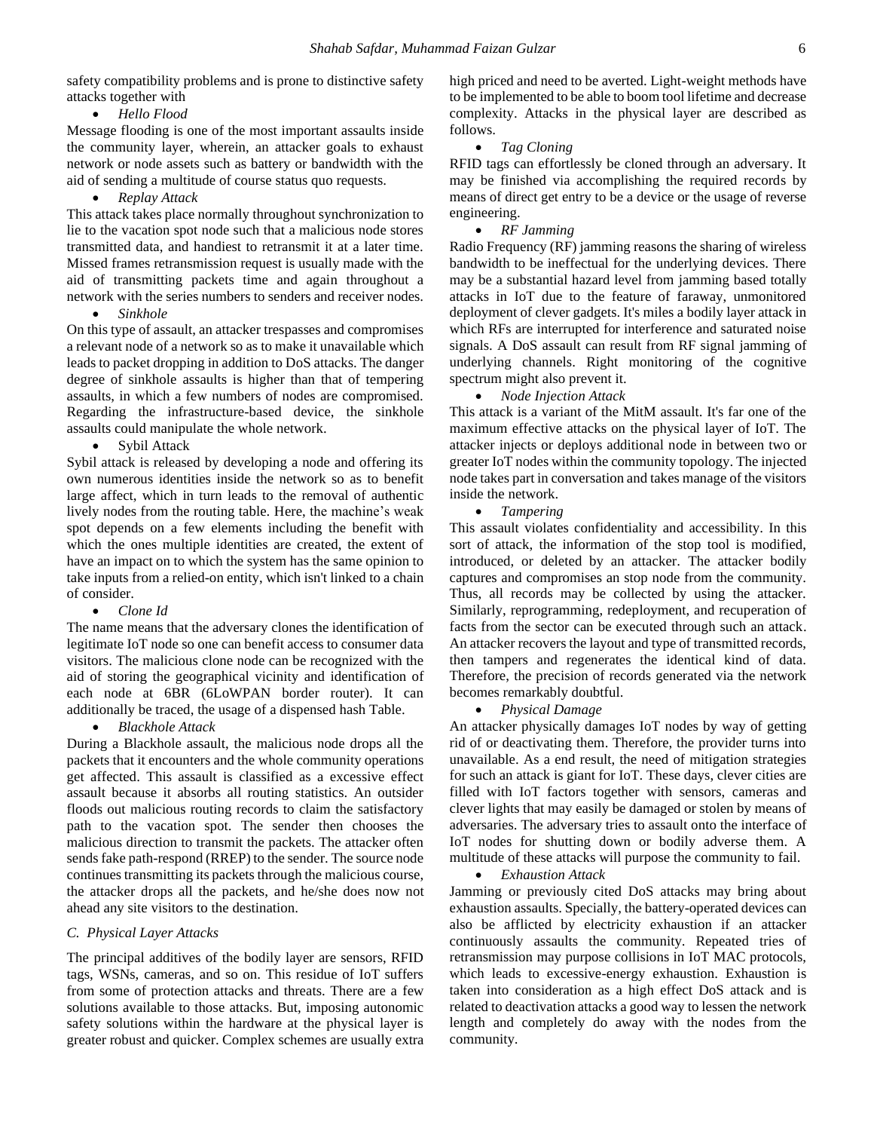safety compatibility problems and is prone to distinctive safety attacks together with

• *Hello Flood*

Message flooding is one of the most important assaults inside the community layer, wherein, an attacker goals to exhaust network or node assets such as battery or bandwidth with the aid of sending a multitude of course status quo requests.

• *Replay Attack*

This attack takes place normally throughout synchronization to lie to the vacation spot node such that a malicious node stores transmitted data, and handiest to retransmit it at a later time. Missed frames retransmission request is usually made with the aid of transmitting packets time and again throughout a network with the series numbers to senders and receiver nodes.

• *Sinkhole*

On this type of assault, an attacker trespasses and compromises a relevant node of a network so as to make it unavailable which leads to packet dropping in addition to DoS attacks. The danger degree of sinkhole assaults is higher than that of tempering assaults, in which a few numbers of nodes are compromised. Regarding the infrastructure-based device, the sinkhole assaults could manipulate the whole network.

• Sybil Attack

Sybil attack is released by developing a node and offering its own numerous identities inside the network so as to benefit large affect, which in turn leads to the removal of authentic lively nodes from the routing table. Here, the machine's weak spot depends on a few elements including the benefit with which the ones multiple identities are created, the extent of have an impact on to which the system has the same opinion to take inputs from a relied-on entity, which isn't linked to a chain of consider.

#### • *Clone Id*

The name means that the adversary clones the identification of legitimate IoT node so one can benefit access to consumer data visitors. The malicious clone node can be recognized with the aid of storing the geographical vicinity and identification of each node at 6BR (6LoWPAN border router). It can additionally be traced, the usage of a dispensed hash Table.

#### • *Blackhole Attack*

During a Blackhole assault, the malicious node drops all the packets that it encounters and the whole community operations get affected. This assault is classified as a excessive effect assault because it absorbs all routing statistics. An outsider floods out malicious routing records to claim the satisfactory path to the vacation spot. The sender then chooses the malicious direction to transmit the packets. The attacker often sends fake path-respond (RREP) to the sender. The source node continues transmitting its packets through the malicious course, the attacker drops all the packets, and he/she does now not ahead any site visitors to the destination.

### *C. Physical Layer Attacks*

The principal additives of the bodily layer are sensors, RFID tags, WSNs, cameras, and so on. This residue of IoT suffers from some of protection attacks and threats. There are a few solutions available to those attacks. But, imposing autonomic safety solutions within the hardware at the physical layer is greater robust and quicker. Complex schemes are usually extra high priced and need to be averted. Light-weight methods have to be implemented to be able to boom tool lifetime and decrease complexity. Attacks in the physical layer are described as follows.

#### • *Tag Cloning*

RFID tags can effortlessly be cloned through an adversary. It may be finished via accomplishing the required records by means of direct get entry to be a device or the usage of reverse engineering.

### • *RF Jamming*

Radio Frequency (RF) jamming reasons the sharing of wireless bandwidth to be ineffectual for the underlying devices. There may be a substantial hazard level from jamming based totally attacks in IoT due to the feature of faraway, unmonitored deployment of clever gadgets. It's miles a bodily layer attack in which RFs are interrupted for interference and saturated noise signals. A DoS assault can result from RF signal jamming of underlying channels. Right monitoring of the cognitive spectrum might also prevent it.

#### • *Node Injection Attack*

This attack is a variant of the MitM assault. It's far one of the maximum effective attacks on the physical layer of IoT. The attacker injects or deploys additional node in between two or greater IoT nodes within the community topology. The injected node takes part in conversation and takes manage of the visitors inside the network.

#### • *Tampering*

This assault violates confidentiality and accessibility. In this sort of attack, the information of the stop tool is modified, introduced, or deleted by an attacker. The attacker bodily captures and compromises an stop node from the community. Thus, all records may be collected by using the attacker. Similarly, reprogramming, redeployment, and recuperation of facts from the sector can be executed through such an attack. An attacker recovers the layout and type of transmitted records, then tampers and regenerates the identical kind of data. Therefore, the precision of records generated via the network becomes remarkably doubtful.

#### • *Physical Damage*

An attacker physically damages IoT nodes by way of getting rid of or deactivating them. Therefore, the provider turns into unavailable. As a end result, the need of mitigation strategies for such an attack is giant for IoT. These days, clever cities are filled with IoT factors together with sensors, cameras and clever lights that may easily be damaged or stolen by means of adversaries. The adversary tries to assault onto the interface of IoT nodes for shutting down or bodily adverse them. A multitude of these attacks will purpose the community to fail.

#### • *Exhaustion Attack*

Jamming or previously cited DoS attacks may bring about exhaustion assaults. Specially, the battery-operated devices can also be afflicted by electricity exhaustion if an attacker continuously assaults the community. Repeated tries of retransmission may purpose collisions in IoT MAC protocols, which leads to excessive-energy exhaustion. Exhaustion is taken into consideration as a high effect DoS attack and is related to deactivation attacks a good way to lessen the network length and completely do away with the nodes from the community.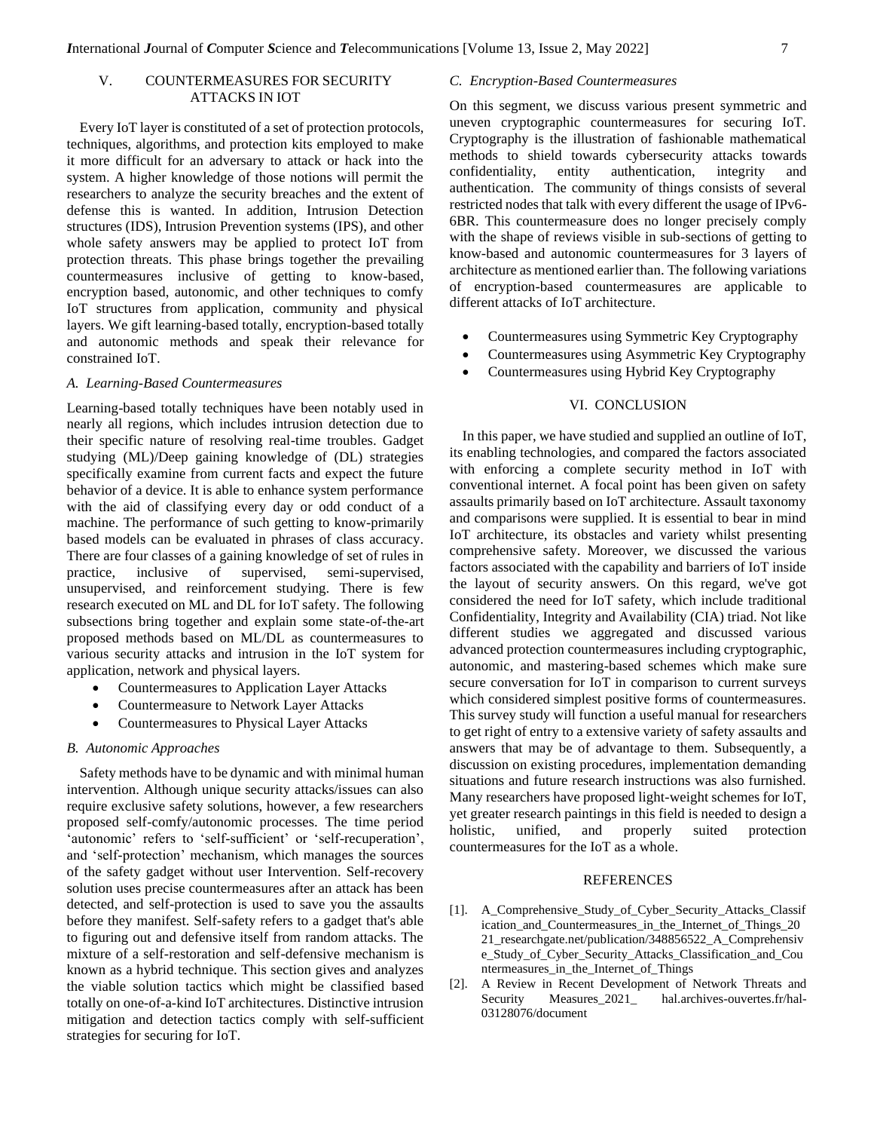# V. COUNTERMEASURES FOR SECURITY ATTACKS IN IOT

Every IoT layer is constituted of a set of protection protocols, techniques, algorithms, and protection kits employed to make it more difficult for an adversary to attack or hack into the system. A higher knowledge of those notions will permit the researchers to analyze the security breaches and the extent of defense this is wanted. In addition, Intrusion Detection structures (IDS), Intrusion Prevention systems (IPS), and other whole safety answers may be applied to protect IoT from protection threats. This phase brings together the prevailing countermeasures inclusive of getting to know-based, encryption based, autonomic, and other techniques to comfy IoT structures from application, community and physical layers. We gift learning-based totally, encryption-based totally and autonomic methods and speak their relevance for constrained IoT.

### *A. Learning-Based Countermeasures*

Learning-based totally techniques have been notably used in nearly all regions, which includes intrusion detection due to their specific nature of resolving real-time troubles. Gadget studying (ML)/Deep gaining knowledge of (DL) strategies specifically examine from current facts and expect the future behavior of a device. It is able to enhance system performance with the aid of classifying every day or odd conduct of a machine. The performance of such getting to know-primarily based models can be evaluated in phrases of class accuracy. There are four classes of a gaining knowledge of set of rules in practice, inclusive of supervised, semi-supervised, unsupervised, and reinforcement studying. There is few research executed on ML and DL for IoT safety. The following subsections bring together and explain some state-of-the-art proposed methods based on ML/DL as countermeasures to various security attacks and intrusion in the IoT system for application, network and physical layers.

- Countermeasures to Application Layer Attacks
- Countermeasure to Network Layer Attacks
- Countermeasures to Physical Layer Attacks

# *B. Autonomic Approaches*

Safety methods have to be dynamic and with minimal human intervention. Although unique security attacks/issues can also require exclusive safety solutions, however, a few researchers proposed self-comfy/autonomic processes. The time period 'autonomic' refers to 'self-sufficient' or 'self-recuperation', and 'self-protection' mechanism, which manages the sources of the safety gadget without user Intervention. Self-recovery solution uses precise countermeasures after an attack has been detected, and self-protection is used to save you the assaults before they manifest. Self-safety refers to a gadget that's able to figuring out and defensive itself from random attacks. The mixture of a self-restoration and self-defensive mechanism is known as a hybrid technique. This section gives and analyzes the viable solution tactics which might be classified based totally on one-of-a-kind IoT architectures. Distinctive intrusion mitigation and detection tactics comply with self-sufficient strategies for securing for IoT.

#### *C. Encryption-Based Countermeasures*

On this segment, we discuss various present symmetric and uneven cryptographic countermeasures for securing IoT. Cryptography is the illustration of fashionable mathematical methods to shield towards cybersecurity attacks towards confidentiality, entity authentication, integrity and authentication. The community of things consists of several restricted nodes that talk with every different the usage of IPv6- 6BR. This countermeasure does no longer precisely comply with the shape of reviews visible in sub-sections of getting to know-based and autonomic countermeasures for 3 layers of architecture as mentioned earlier than. The following variations of encryption-based countermeasures are applicable to different attacks of IoT architecture.

- Countermeasures using Symmetric Key Cryptography
- Countermeasures using Asymmetric Key Cryptography
- Countermeasures using Hybrid Key Cryptography

### VI. CONCLUSION

In this paper, we have studied and supplied an outline of IoT, its enabling technologies, and compared the factors associated with enforcing a complete security method in IoT with conventional internet. A focal point has been given on safety assaults primarily based on IoT architecture. Assault taxonomy and comparisons were supplied. It is essential to bear in mind IoT architecture, its obstacles and variety whilst presenting comprehensive safety. Moreover, we discussed the various factors associated with the capability and barriers of IoT inside the layout of security answers. On this regard, we've got considered the need for IoT safety, which include traditional Confidentiality, Integrity and Availability (CIA) triad. Not like different studies we aggregated and discussed various advanced protection countermeasures including cryptographic, autonomic, and mastering-based schemes which make sure secure conversation for IoT in comparison to current surveys which considered simplest positive forms of countermeasures. This survey study will function a useful manual for researchers to get right of entry to a extensive variety of safety assaults and answers that may be of advantage to them. Subsequently, a discussion on existing procedures, implementation demanding situations and future research instructions was also furnished. Many researchers have proposed light-weight schemes for IoT, yet greater research paintings in this field is needed to design a holistic, unified, and properly suited protection countermeasures for the IoT as a whole.

# REFERENCES

- [1]. A\_Comprehensive\_Study\_of\_Cyber\_Security\_Attacks\_Classif ication\_and\_Countermeasures\_in\_the\_Internet\_of\_Things\_20 21\_researchgate.net/publication/348856522\_A\_Comprehensiv e\_Study\_of\_Cyber\_Security\_Attacks\_Classification\_and\_Cou ntermeasures\_in\_the\_Internet\_of\_Things
- [2]. A Review in Recent Development of Network Threats and Security Measures\_2021\_ hal.archives-ouvertes.fr/hal-03128076/document